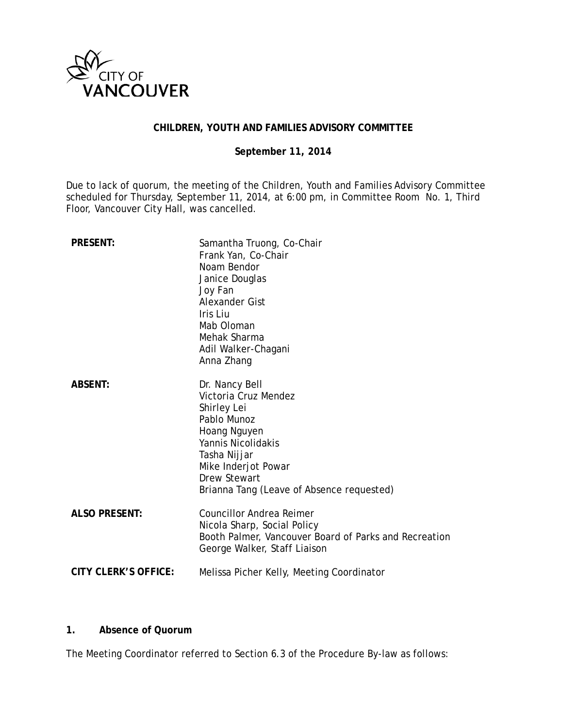

## **CHILDREN, YOUTH AND FAMILIES ADVISORY COMMITTEE**

## **September 11, 2014**

Due to lack of quorum, the meeting of the Children, Youth and Families Advisory Committee scheduled for Thursday, September 11, 2014, at 6:00 pm, in Committee Room No. 1, Third Floor, Vancouver City Hall, was cancelled.

| <b>PRESENT:</b>             | Samantha Truong, Co-Chair<br>Frank Yan, Co-Chair<br>Noam Bendor<br>Janice Douglas<br>Joy Fan<br>Alexander Gist<br>Iris Liu<br>Mab Oloman<br>Mehak Sharma<br>Adil Walker-Chagani<br>Anna Zhang                         |
|-----------------------------|-----------------------------------------------------------------------------------------------------------------------------------------------------------------------------------------------------------------------|
| <b>ABSENT:</b>              | Dr. Nancy Bell<br>Victoria Cruz Mendez<br>Shirley Lei<br>Pablo Munoz<br>Hoang Nguyen<br>Yannis Nicolidakis<br>Tasha Nijjar<br>Mike Inderjot Powar<br><b>Drew Stewart</b><br>Brianna Tang (Leave of Absence requested) |
| <b>ALSO PRESENT:</b>        | <b>Councillor Andrea Reimer</b><br>Nicola Sharp, Social Policy<br>Booth Palmer, Vancouver Board of Parks and Recreation<br>George Walker, Staff Liaison                                                               |
| <b>CITY CLERK'S OFFICE:</b> | Melissa Picher Kelly, Meeting Coordinator                                                                                                                                                                             |

## **1. Absence of Quorum**

The Meeting Coordinator referred to Section 6.3 of the Procedure By-law as follows: